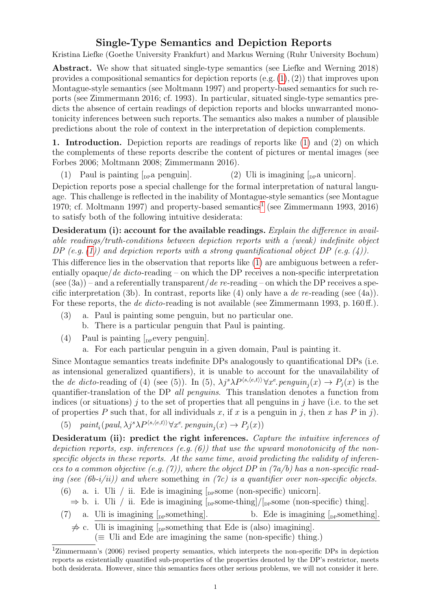## Single-Type Semantics and Depiction Reports

Kristina Liefke (Goethe University Frankfurt) and Markus Werning (Ruhr University Bochum)

Abstract. We show that situated single-type semantics (see Liefke and Werning 2018) provides a compositional semantics for depiction reports (e.g.  $(1), (2)$  $(1), (2)$ ) that improves upon Montague-style semantics (see Moltmann 1997) and property-based semantics for such reports (see Zimmermann 2016; cf. 1993). In particular, situated single-type semantics predicts the absence of certain readings of depiction reports and blocks unwarranted monotonicity inferences between such reports. The semantics also makes a number of plausible predictions about the role of context in the interpretation of depiction complements.

1. Introduction. Depiction reports are readings of reports like [\(1\)](#page-0-0) and (2) on which the complements of these reports describe the content of pictures or mental images (see Forbes 2006; Moltmann 2008; Zimmermann 2016).

<span id="page-0-0"></span>(1) Paul is painting  $\begin{bmatrix} p_{\text{p}} a \end{bmatrix}$  penguin. (2) Uli is imagining  $\begin{bmatrix} p_{\text{p}} a \end{bmatrix}$  unicorn.

Depiction reports pose a special challenge for the formal interpretation of natural language. This challenge is reflected in the inability of Montague-style semantics (see Montague 1970; cf. Moltmann 1997) and property-based semantics<sup>1</sup> (see Zimmermann 1993, 2016) to satisfy both of the following intuitive desiderata:

Desideratum (i): account for the available readings. Explain the difference in available readings/truth-conditions between depiction reports with a (weak) indefinite object DP (e.g. [\(1\)](#page-0-0)) and depiction reports with a strong quantificational object DP (e.g.  $(4)$ ).

This difference lies in the observation that reports like [\(1\)](#page-0-0) are ambiguous between a referentially opaque/de dicto-reading – on which the DP receives a non-specific interpretation (see  $(3a)$ ) – and a referentially transparent/de re-reading – on which the DP receives a specific interpretation (3b). In contrast, reports like (4) only have a de re-reading (see (4a)). For these reports, the *de dicto*-reading is not available (see Zimmermann 1993, p. 160 ff.).

- (3) a. Paul is painting some penguin, but no particular one.
	- b. There is a particular penguin that Paul is painting.
- (4) Paul is painting  $\lceil_{\text{pevery}}\text{penguin}\rceil$ .
	- a. For each particular penguin in a given domain, Paul is painting it.

Since Montague semantics treats indefinite DPs analogously to quantificational DPs (i.e. as intensional generalized quantifiers), it is unable to account for the unavailability of the de dicto-reading of (4) (see (5)). In (5),  $\lambda j^s \lambda P^{\langle s,\langle e,t\rangle\rangle} \forall x^e$  penguin<sub>j</sub> $(x) \rightarrow P_j(x)$  is the quantifier-translation of the DP all penguins. This translation denotes a function from indices (or situations) j to the set of properties that all penguins in j have (i.e. to the set of properties P such that, for all individuals x, if x is a penguin in j, then x has P in j).

(5)  $\text{paint}_i(\text{paul}, \lambda j^s \lambda P^{\langle s, \langle e, t \rangle)} \forall x^e \text{.} \text{penguin}_j(x) \rightarrow P_j(x))$ 

Desideratum (ii): predict the right inferences. Capture the intuitive inferences of depiction reports, esp. inferences (e.g.  $(6)$ ) that use the upward monotonicity of the nonspecific objects in these reports. At the same time, avoid predicting the validity of inferences to a common objective (e.g.  $(7)$ ), where the object DP in  $(7a/b)$  has a non-specific reading (see (6b-i/ii)) and where something in (7c) is a quantifier over non-specific objects.

- (6) a. i. Uli / ii. Ede is imagining  $\int_{\text{pp}}$ some (non-specific) unicorn.
- $\Rightarrow$  b. i. Uli / ii. Ede is imagining  $\frac{1}{\text{pp}}$ some-thing $\frac{1}{\text{pp}}$ some (non-specific) thing.
- (7) a. Uli is imagining  $\lceil_{\text{pp}}$ something]. b. Ede is imagining  $\lceil_{\text{pp}}$ something].
	- $\neq$  c. Uli is imagining [ppsomething that Ede is (also) imagining].

 $($   $\equiv$  Uli and Ede are imagining the same (non-specific) thing.)

<sup>&</sup>lt;sup>1</sup>Zimmermann's (2006) revised property semantics, which interprets the non-specific DPs in depiction reports as existentially quantified sub-properties of the properties denoted by the DP's restrictor, meets both desiderata. However, since this semantics faces other serious problems, we will not consider it here.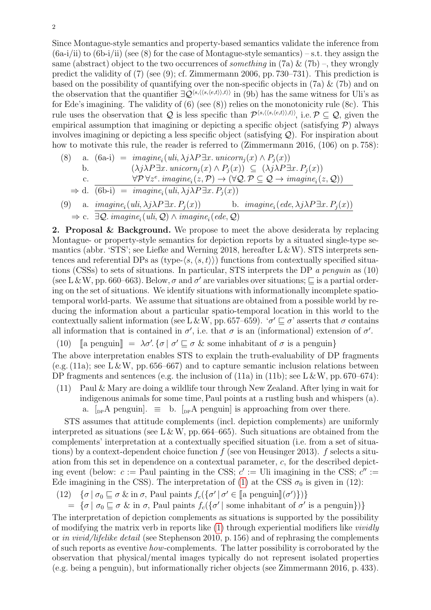Since Montague-style semantics and property-based semantics validate the inference from  $(6a-i/ii)$  to  $(6b-i/ii)$  (see (8) for the case of Montague-style semantics) – s.t. they assign the same (abstract) object to the two occurrences of *something* in  $(7a) \& (7b)$ , they wrongly predict the validity of (7) (see (9); cf. Zimmermann 2006, pp. 730–731). This prediction is based on the possibility of quantifying over the non-specific objects in  $(7a) \& (7b)$  and on the observation that the quantifier  $\exists Q^{\langle s,\langle\langle s,\langle e,t\rangle\rangle,t\rangle\rangle}$  in (9b) has the same witness for Uli's as for Ede's imagining. The validity of (6) (see (8)) relies on the monotonicity rule (8c). This rule uses the observation that Q is less specific than  $\mathcal{P}^{\langle s,\langle \langle s,\langle e,t\rangle \rangle,t\rangle)},$  i.e.  $\mathcal{P} \subseteq \mathcal{Q},$  given the empirical assumption that imagining or depicting a specific object (satisfying  $P$ ) always involves imagining or depicting a less specific object (satisfying  $\mathcal{Q}$ ). For inspiration about how to motivate this rule, the reader is referred to (Zimmermann 2016, (106) on p. 758):

(8) a. (6a-i) = 
$$
imagine_i(uli, \lambda j \lambda P \exists x. unicorn_j(x) \land P_j(x))
$$
  
\nb.  $(\lambda j \lambda P \exists x. unicorn_j(x) \land P_j(x)) \subseteq (\lambda j \lambda P \exists x. P_j(x))$   
\nc.  $\forall P \forall z^e. imagine_i(z, P) \rightarrow (\forall Q. P \subseteq Q \rightarrow imagine_i(z, Q))$   
\n $\Rightarrow d. \overline{(6b-i)} = imagine_i(uli, \lambda j \lambda P \exists x. P_j(x))$   
\n(9) a.  $imagine_i(uli, \lambda j \lambda P \exists x. P_j(x))$  b.  $imagine_i(ede, \lambda j \lambda P \exists x. P_j(x))$ 

⇒ c. 
$$
\exists Q. imagine_i(uli, Q) \land imagine_i(ede, Q)
$$
  
**2. Proposal & Background.** We propose to meet the above desiderata  
Montague- or property-style semantics for depiction reports by a situated s

by replacing ingle-type semantics (abbr. 'STS'; see Liefke and Werning 2018, hereafter  $L \& W$ ). STS interprets sentences and referential DPs as  $(\text{type-}\langle s,\langle s,t\rangle\rangle)$  functions from contextually specified situations (CSSs) to sets of situations. In particular, STS interprets the DP a penguin as (10) (see L & W, pp. 660–663). Below,  $\sigma$  and  $\sigma'$  are variables over situations;  $\sqsubseteq$  is a partial ordering on the set of situations. We identify situations with informationally incomplete spatiotemporal world-parts. We assume that situations are obtained from a possible world by reducing the information about a particular spatio-temporal location in this world to the contextually salient information (see L & W, pp. 657–659).  $\sigma' \sqsubseteq \sigma'$  asserts that  $\sigma$  contains all information that is contained in  $\sigma'$ , i.e. that  $\sigma$  is an (informational) extension of  $\sigma'$ .

(10) [a penguin] = 
$$
\lambda \sigma'
$$
. {  $\sigma \mid \sigma' \sqsubseteq \sigma \&$  some inhabitant of  $\sigma$  is a penguin }

The above interpretation enables STS to explain the truth-evaluability of DP fragments (e.g. (11a); see L & W, pp. 656–667) and to capture semantic inclusion relations between DP fragments and sentences (e.g. the inclusion of  $(11a)$  in  $(11b)$ ; see L &W, pp. 670–674):

(11) Paul & Mary are doing a wildlife tour through New Zealand. After lying in wait for indigenous animals for some time, Paul points at a rustling bush and whispers (a). a.  $\int_{DP} A$  penguin.  $\equiv$  b.  $\int_{DP} A$  penguin is approaching from over there.

STS assumes that attitude complements (incl. depiction complements) are uniformly interpreted as situations (see L & W, pp. 664–665). Such situations are obtained from the complements' interpretation at a contextually specified situation (i.e. from a set of situations) by a context-dependent choice function f (see von Heusinger 2013). f selects a situation from this set in dependence on a contextual parameter, c, for the described depicting event (below:  $c :=$  Paul painting in the CSS;  $c' :=$  Uli imagining in the CSS;  $c'' :=$ Ede imagining in the CSS). The interpretation of [\(1\)](#page-0-0) at the CSS  $\sigma_0$  is given in (12):

(12) 
$$
\{\sigma \mid \sigma_0 \sqsubseteq \sigma \& \text{ in } \sigma, \text{ Paul points } f_c(\{\sigma' \mid \sigma' \in \llbracket a \text{ penguin} \rrbracket(\sigma')\})\}
$$

 $\{\sigma \mid \sigma_0 \sqsubseteq \sigma \& \text{ in } \sigma, \text{ Paul points } f_c(\{\sigma' \mid \sigma' \in \llbracket a \text{ penguin} \rrbracket(\sigma')\})\}$ <br>=  $\{\sigma \mid \sigma_0 \sqsubseteq \sigma \& \text{ in } \sigma, \text{ Paul points } f_c(\{\sigma' \mid \text{some inhabitant of } \sigma' \text{ is a penguin}\})\}$ 

The interpretation of depiction complements as situations is supported by the possibility of modifying the matrix verb in reports like  $(1)$  through experiential modifiers like *vividly* or in vivid/lifelike detail (see Stephenson 2010, p. 156) and of rephrasing the complements of such reports as eventive how-complements. The latter possibility is corroborated by the observation that physical/mental images typically do not represent isolated properties (e.g. being a penguin), but informationally richer objects (see Zimmermann 2016, p. 433).